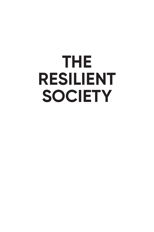# **THE RESILIENT SOCIETY**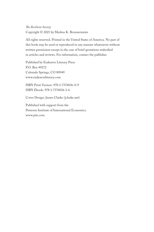*The Resilient Society* Copyright © 2021 by Markus K. Brunnermeier

All rights reserved. Printed in the United States of America. No part of this book may be used or reproduced in any manner whatsoever without written permission except in the case of brief quotations embodied in articles and reviews. For information, contact the publisher.

Published by Endeavor Literary Press P.O. Box 49272 Colorado Springs, CO 80949 www.endeavorliterary.com

ISBN Print Version: 978-1-7374036-0-9 ISBN Ebook: 978-1-7374036-1-6

Cover Design: James Clarke (jclarke.net)

Published with support from the Peterson Institute of International Economics. www.piie.com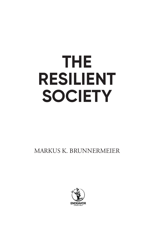# **THE RESILIENT SOCIETY**

MARKUS K. BRUNNERMEIER

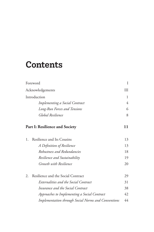# **Contents**

| Foreword |                                                     |    |  |
|----------|-----------------------------------------------------|----|--|
|          | Acknowledgements                                    |    |  |
|          | Introduction                                        |    |  |
|          | <b>Implementing a Social Contract</b>               | 4  |  |
|          | Long-Run Forces and Tensions                        | 6  |  |
|          | Global Resilience                                   | 8  |  |
|          | Part I: Resilience and Society                      | 11 |  |
| 1.       | Resilience and Its Cousins                          | 13 |  |
|          | A Definition of Resilience                          | 13 |  |
|          | Robustness and Redundancies                         | 18 |  |
|          | Resilience and Sustainability                       | 19 |  |
|          | Growth with Resilience                              | 20 |  |
| 2.       | Resilience and the Social Contract                  | 29 |  |
|          | <b>Externalities and the Social Contract</b>        | 31 |  |
|          | Insurance and the Social Contract                   | 38 |  |
|          | Approaches to Implementing a Social Contract        | 42 |  |
|          | Implementation through Social Norms and Conventions | 44 |  |
|          |                                                     |    |  |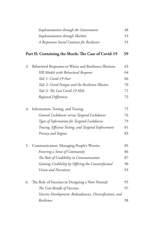| Implementation through the Government       | 48 |
|---------------------------------------------|----|
| <b>Implementation through Markets</b>       | 53 |
| A Responsive Social Contract for Resilience | 55 |

## **Part II: Containing the Shock: The Case of Covid-19 59**

| 3. | Behavioral Responses to Waves and Resilience Illusions  | 63 |
|----|---------------------------------------------------------|----|
|    | SIR Models with Behavioral Response                     | 64 |
|    | Tale 1: Covid-19 Fear                                   | 66 |
|    | Tale 2: Covid Fatigue and the Resilience Illusion       | 70 |
|    | Tale 3: The Last Covid-19 Mile                          | 72 |
|    | Regional Differences                                    | 73 |
| 4. | Information, Testing, and Tracing                       | 75 |
|    | General Lockdowns versus Targeted Lockdowns             | 76 |
|    | Types of Information for Targeted Lockdowns             | 79 |
|    | Tracing, Efficient Testing, and Targeted Enforcement    | 81 |
|    | Privacy and Stigma                                      | 83 |
| 5. | Communication: Managing People's Worries                | 85 |
|    | Fostering a Sense of Community                          | 86 |
|    | The Role of Credibility in Communication                | 87 |
|    | Gaining Credibility by Offering the Counterfactual      | 90 |
|    | Vision and Narratives                                   | 93 |
| 6. | The Role of Vaccines in Designing a New Normal          | 95 |
|    | The Cost-Benefit of Vaccines                            | 97 |
|    | Vaccine Development: Redundancies, Diversification, and |    |
|    | Resilience                                              | 98 |
|    |                                                         |    |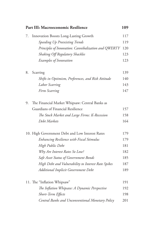| Part III: Macroeconomic Resilience |                                                      | 109 |
|------------------------------------|------------------------------------------------------|-----|
| 7.                                 | Innovation Boosts Long-Lasting Growth                | 117 |
|                                    | Speeding Up Preexisting Trends                       | 119 |
|                                    | Principles of Innovation: Cannibalization and QWERTY | 120 |
|                                    | Shaking Off Regulatory Shackles                      | 123 |
|                                    | Examples of Innovation                               | 123 |
| 8.                                 | Scarring                                             | 139 |
|                                    | Shifts in Optimism, Preferences, and Risk Attitude   | 140 |
|                                    | Labor Scarring                                       | 143 |
|                                    | Firm Scarring                                        | 147 |
| 9.                                 | The Financial Market Whipsaw: Central Banks as       |     |
|                                    | Guardians of Financial Resilience                    | 157 |
|                                    | The Stock Market and Large Firms: K-Recession        | 158 |
|                                    | Debt Markets                                         | 164 |
|                                    | 10. High Government Debt and Low Interest Rates      | 179 |
|                                    | Enhancing Resilience with Fiscal Stimulus            | 179 |
|                                    | High Public Debt                                     | 181 |
|                                    | Why Are Interest Rates So Low?                       | 182 |
|                                    | Safe Asset Status of Government Bonds                | 185 |
|                                    | High Debt and Vulnerability to Interest Rate Spikes  | 187 |
|                                    | Additional Implicit Government Debt                  | 189 |
|                                    | 11. The "Inflation Whipsaw"                          | 191 |
|                                    | The Inflation Whipsaw: A Dynamic Perspective         | 192 |
|                                    | Short-Term Effects                                   | 198 |
|                                    | Central Banks and Unconventional Monetary Policy     | 201 |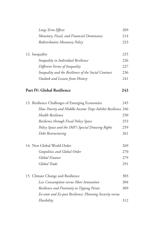| Long-Term Effects                                          | 209 |
|------------------------------------------------------------|-----|
| Monetary, Fiscal, and Financial Dominance                  | 214 |
| Redistributive Monetary Policy                             | 223 |
| 12. Inequality                                             | 225 |
| Inequality in Individual Resilience                        | 226 |
| Different Forms of Inequality                              | 227 |
| Inequality and the Resilience of the Social Contract       | 236 |
| Outlook and Lessons from History                           | 241 |
| <b>Part IV: Global Resilience</b>                          | 243 |
| 13. Resilience Challenges of Emerging Economies            |     |
| How Poverty and Middle-Income Traps Inhibit Resilience 246 |     |
| <b>Health Resilience</b>                                   | 250 |
| Resilience through Fiscal Policy Space                     | 253 |
| Policy Space and the IMF's Special Drawing Rights          | 259 |
| Debt Restructuring                                         | 261 |
| 14. New Global World Order                                 | 269 |
| Geopolitics and Global Order                               | 270 |
| Global Finance                                             | 279 |
| Global Trade                                               | 291 |
| 15. Climate Change and Resilience                          | 303 |
| Less Consumption versus More Innovation                    | 304 |
| Resilience and Proximity to Tipping Points                 | 309 |
| Ex-ante and Ex-post Resilience: Planning Security versus   |     |
| Flexibility                                                | 312 |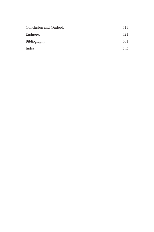| Conclusion and Outlook | 315 |
|------------------------|-----|
| Endnotes               | 321 |
| Bibliography           | 361 |
| Index                  | 393 |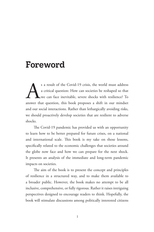## **Foreword**

s a result of the Covid-19 crisis, the world must address<br>a critical question: How can societies be reshaped so that<br>we can face inevitable, severe shocks with resilience? To<br>answer that question, this book proposes a shif a critical question: How can societies be reshaped so that we can face inevitable, severe shocks with resilience? To answer that question, this book proposes a shift in our mindset and our social interactions. Rather than lethargically avoiding risks, we should proactively develop societies that are resilient to adverse shocks.

The Covid-19 pandemic has provided us with an opportunity to learn how to be better prepared for future crises, on a national and international scale. This book is my take on those lessons, specifically related to the economic challenges that societies around the globe now face and how we can prepare for the next shock. It presents an analysis of the immediate and long-term pandemic impacts on societies.

The aim of the book is to present the concept and principles of resilience in a structured way, and to make them available to a broader public. However, the book makes no attempt to be all inclusive, comprehensive, or fully rigorous. Rather it raises intriguing perspectives designed to encourage readers to think. Hopefully, the book will stimulate discussions among politically interested citizens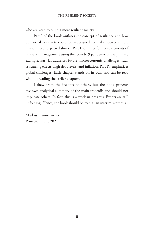who are keen to build a more resilient society.

Part I of the book outlines the concept of resilience and how our social contracts could be redesigned to make societies more resilient to unexpected shocks. Part II outlines four core elements of resilience management using the Covid-19 pandemic as the primary example. Part III addresses future macroeconomic challenges, such as scarring effects, high debt levels, and inflation. Part IV emphasizes global challenges. Each chapter stands on its own and can be read without reading the earlier chapters.

I draw from the insights of others, but the book presents my own analytical summary of the main tradeoffs and should not implicate others. In fact, this is a work in progress. Events are still unfolding. Hence, the book should be read as an interim synthesis.

Markus Brunnermeier Princeton, June 2021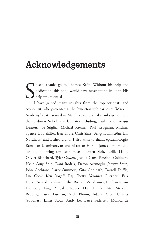## **Acknowledgements**

S pecial thanks go to Thomas Krön. Without his help and dedication, this book would have never found its light. His help was essential.

I have gained many insights from the top scientists and economists who presented at the Princeton webinar series "Markus' Academy" that I started in March 2020. Special thanks go to more than a dozen Nobel Prize laureates including, Paul Romer, Angus Deaton, Joe Stiglitz, Michael Kremer, Paul Krugman, Michael Spence, Bob Shiller, Jean Tirole, Chris Sims, Bengt Holmström, Bill Nordhaus, and Esther Duflo. I also wish to thank epidemiologist Ramanan Laxminarayan and historian Harold James. I'm grateful for the following top economists: Torsten Slok, Nellie Liang, Olivier Blanchard, Tyler Cowen, Joshua Gans, Penelopi Goldberg, Hyun Song Shin, Dani Rodrik, Daron Acemoglu, Jeremy Stein, John Cochrane, Larry Summers, Gita Gopinath, Darrell Duffie, Lisa Cook, Ken Rogoff, Raj Chetty, Veronica Guerrieri, Erik Hurst, Arvind Krishnamurthy, Richard Zeckhauser, Esteban Rossi-Hansberg, Luigi Zingales, Robert Hall, Emily Oster, Stephen Redding, Jason Furman, Nick Bloom, Adam Posen, Charles Goodhart, James Stock, Andy Lo, Lasse Pedersen, Monica de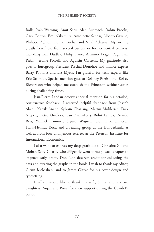Bolle, Iván Werning, Amit Seru, Alan Auerbach, Robin Brooks, Gary Gorton, Emi Nakamura, Antoinette Schoar, Alberto Cavallo, Philippe Aghion, Edmar Bacha, and Viral Acharya. My writing greatly benefitted from several current or former central bankers, including Bill Dudley, Philip Lane, Arminio Fraga, Raghuram Rajan, Jerome Powell, and Agustin Carstens. My gratitude also goes to Eurogroup President Paschal Donohoe and finance experts Barry Ritholtz and Liz Myers. I'm grateful for tech experts like Eric Schmidt. Special mention goes to Delaney Parrish and Kelsey Richardson who helped me establish the Princeton webinar series during challenging times.

Jean-Pierre Landau deserves special mention for his detailed, constructive feedback. I received helpful feedback from Joseph Abadi, Kartik Anand, Sylvain Chassang, Martin Mühleisen, Dirk Niepelt, Pietro Ortoleva, Jean Pisani-Ferry, Rohit Lamba, Ricardo Reis, Yannick Timmer, Sigurd Wagner, Jeromin Zettelmeyer, Hans-Helmut Kotz, and a reading group at the Bundesbank, as well as from four anonymous referees at the Peterson Institute for International Economics.

I also want to express my deep gratitude to Christina Xu and Mohan Setty Charity who diligently went through each chapter to improve early drafts. Don Noh deserves credit for collecting the data and creating the graphs in the book. I wish to thank my editor, Glenn McMahan, and to James Clarke for his cover design and typesetting.

Finally, I would like to thank my wife, Smita, and my two daughters, Anjali and Priya, for their support during the Covid-19 period.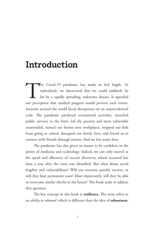## **Introduction**

The Covid-19 pandemic has made us feel fragile. As individuals, we discovered that we could suddenly be hit by a rapidly spreading, unknown disease. It upended our perception that medical progress would prevent such events. Societies around the world faced disruptions on an unprecedented scale. The pandemic paralyzed recreational activities, stretched public services to the limit, left the poorest and most vulnerable unattended, turned our homes into workplaces, stopped our kids from going to school, disrupted our family lives, and forced us to connect with friends through screens. And we lost many lives.

The pandemic has also given us reason to be confident in the power of medicine and technology. Indeed, we can only marvel at the speed and efficiency of vaccine discovery, which occurred less than a year after the virus was identified. But what about social fragility and vulnerabilities? Will our societies quickly recover, or will they bear permanent scars? Most importantly, will they be able to overcome similar shocks in the future? This book seeks to address that question.

The key concept in this book is **resilience**. The term refers to an *ability to rebound,* which is different than the idea of **robustness**,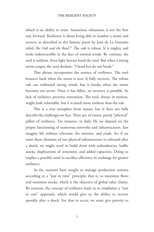#### The Resilient Society

which is an ability to resist. Sometimes robustness is not the best way forward. Resilience is about being able to weather a storm and recover, as described in the famous poem by Jean de La Fontaine titled *The Oak and the Reed.*"1 The oak is robust. It is mighty and looks indestructible in the face of normal winds. By contrast, the reed is resilient. Even light breezes bend the reed. But when a strong storm erupts, the reed declares: "I bend but do not break."

That phrase incorporates the essence of resilience. The reed bounces back when the storm is over. It fully recovers. The robust oak can withstand strong winds, but it breaks when the storm becomes too severe. Once it has fallen, no recovery is possible. Its lack of resilience prevents restoration. The reed, always in motion, might look vulnerable, but it is much more resilient than the oak.

This is a nice metaphor from nature, but it does not fully describe the challenges we face. There are, of course, purely "physical" pillars of resilience. For instance, in daily life we depend on the proper functioning of numerous networks and infrastructures. Just imagine life without telecoms, the internet, and roads. So, if we want those elements of our physical infrastructure to rebound after a shock, we might need to build them with redundancies, buffer stocks, duplications of structures, and added capacities. Doing so implies a possible need to sacrifice efficiency in exchange for greater resilience.

So far, societies have sought to manage production systems according to a "just in time" principle; that is, to maximize flows and minimize stocks, which is the objective of global value chains. By contrast, the concept of resilience leads us to emphasize a "just in case" approach, which would give us the ability to recover speedily after a shock. For that to occur, we must give priority to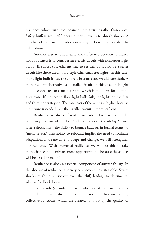resilience, which turns redundancies into a virtue rather than a vice. Safety buffers are useful because they allow us to absorb shocks. A mindset of resilience provides a new way of looking at cost-benefit calculations.

Another way to understand the difference between resilience and robustness is to consider an electric circuit with numerous light bulbs. The most cost-efficient way to set this up would be a series circuit like those used in old-style Christmas tree lights. In this case, if one light bulb failed, the entire Christmas tree would turn dark. A more resilient alternative is a parallel circuit. In this case, each light bulb is connected to a main circuit, which is the norm for lighting a staircase. If the second-floor light bulb fails, the lights on the first and third floors stay on. The total cost of the wiring is higher because more wire is needed, but the parallel circuit is more resilient.

Resilience is also different than **risk**, which refers to the frequency and size of shocks. Resilience is about the *ability to react* after a shock hits—the ability to bounce back or, in formal terms, to "mean-revert." This ability to rebound implies the need to facilitate adaptation. If we are able to adapt and change, we will strengthen our resilience. With improved resilience, we will be able to take more chances and embrace more opportunities—because the shocks will be less detrimental.

Resilience is also an essential component of **sustainability**. In the absence of resilience, a society can become unsustainable. Severe shocks might push society over the cliff, leading to detrimental adverse feedback loops.

The Covid-19 pandemic has taught us that resilience requires more than individualistic thinking. A society relies on healthy collective functions, which are created (or not) by the quality of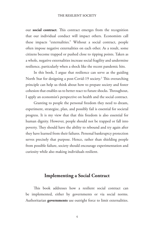#### The Resilient Society

our **social contract**. This contract emerges from the recognition that our individual conduct will impact others. Economists call these impacts "externalities." Without a social contract, people often impose negative externalities on each other. As a result, some citizens become trapped or pushed close to tipping points. Taken as a whole, negative externalities increase social fragility and undermine resilience, particularly when a shock like the recent pandemic hits.

In this book, I argue that resilience can serve as the guiding North Star for designing a post-Covid-19 society.<sup>2</sup> This overarching principle can help us think about how to prepare society and foster cohesion that enables us to better react to future shocks. Throughout, I apply an economist's perspective on health and the social contract.

Granting to people the personal freedom they need to dream, experiment, strategize, plan, and possibly fail is essential for societal progress. It is my view that that this freedom is also essential for human dignity. However, people should not be trapped or fall into poverty. They should have the ability to rebound and try again after they have learned from their failures. Personal bankruptcy protection serves precisely that purpose. Hence, rather than shielding people from possible failure, society should encourage experimentation and curiosity while also making individuals resilient.

#### **Implementing a Social Contract**

This book addresses how a resilient social contract can be implemented, either by governments or via social norms. Authoritarian **governments** use outright force to limit externalities.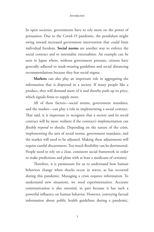In open societies, governments have to rely more on the power of persuasion. Due to the Covid-19 pandemic, the pendulum might swing toward increased government intervention that could limit individual freedom. **Social norms** are another way to enforce the social contract and to internalize externalities. An example can be seen in Japan where, without government pressure, citizens have generally adhered to mask-wearing guidelines and social distancing recommendations because they fear social stigma.

**Markets** can also play an important role in aggregating the information that is dispersed in a society. If many people like a product, they will demand more of it and thereby push up its price, which signals firms to supply more.

All of these factors—social norms, government mandates, and the market—can play a role in implementing a social contract. That said, it is important to recognize that a society and its social contract will be more resilient if the contract's implementation can *flexibly respond* to shocks. Depending on the nature of the crisis, implementing the mix of social norms, government mandates, and the market will need to be adjusted. Making these adjustments will require careful discernment. Too much flexibility can be detrimental. People need to rely on a clear, consistent social framework in order to make predictions and plans with at least a modicum of certainty.

Therefore, it is paramount for us to understand how human behaviors change when shocks occur in waves, as has occurred during this pandemic. Managing a crisis requires information. To understand new situations, we need experimentation. Accurate communication is also essential, in part because it has such a powerful influence on human behavior. However, conveying factual information about public health guidelines during a pandemic,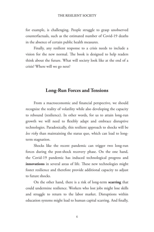#### The Resilient Society

for example, is challenging. People struggle to grasp unobserved counterfactuals, such as the estimated number of Covid-19 deaths in the absence of certain public health measures.

Finally, any resilient response to a crisis needs to include a vision for the new normal. The book is designed to help readers think about the future. What will society look like at the end of a crisis? Where will we go next?

#### **Long-Run Forces and Tensions**

From a macroeconomic and financial perspective, we should recognize the reality of volatility while also developing the capacity to rebound (resilience). In other words, for us to attain long-run growth we will need to flexibly adapt and embrace disruptive technologies. Paradoxically, this resilient approach to shocks will be *less risky* than maintaining the status quo, which can lead to longterm stagnation.

Shocks like the recent pandemic can trigger two long-run forces during the post-shock recovery phase. On the one hand, the Covid-19 pandemic has induced technological progress and **innovations** in several areas of life. These new technologies might foster resilience and therefore provide additional capacity to adjust to future shocks.

On the other hand, there is a risk of long-term **scarring** that could undermine resilience. Workers who lost jobs might lose skills and struggle to return to the labor market. Disruptions within education systems might lead to human capital scarring. And finally,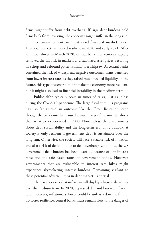firms might suffer from debt overhang. If large debt burdens hold firms back from investing, the economy might suffer in the long run.

To remain resilient, we must avoid **financial market** havoc. Financial markets remained resilient in 2020 and early 2021. After an initial shiver in March 2020, central bank interventions rapidly removed the tail risk in markets and stabilized asset prices, resulting in a drop-and-rebound pattern similar to a whipsaw. As central banks contained the risk of widespread negative outcomes, firms benefited from lower interest rates as they raised much needed liquidity. In the future, this type of scenario might make the economy more resilient, but it might also lead to financial instability in the medium term.

**Public debt** typically soars in times of crisis, just as it has during the Covid-19 pandemic. The large fiscal stimulus programs have so far averted an outcome like the Great Recession, even though the pandemic has caused a much larger fundamental shock than what we experienced in 2008. Nonetheless, there are worries about debt sustainability and the long-term economic outlook. A society is only resilient if government debt is sustainable over the long run. Otherwise, the society will face a sizable risk of inflation and also a risk of deflation due to debt overhang. Until now, the US government debt burden has been bearable because of low interest rates and the safe asset status of government bonds. However, governments that are vulnerable to interest rate hikes might experience skyrocketing interest burdens. Remaining vigilant to these potential adverse jumps in debt markets is critical.

There is also a risk that **inflation** will display whipsaw dynamics over the medium term. In 2020, depressed demand lowered inflation rates; however, inflationary forces could be unleashed in the future. To foster resilience, central banks must remain alert to the danger of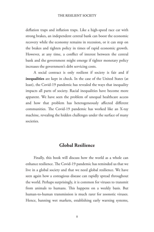#### The Resilient Society

deflation traps and inflation traps. Like a high-speed race car with strong brakes, an independent central bank can boost the economic recovery while the economy remains in recession, or it can step on the brakes and tighten policy in times of rapid economic growth. However, at any time, a conflict of interest between the central bank and the government might emerge if tighter monetary policy increases the government's debt servicing costs.

A social contract is only resilient if society is fair and if **inequalities** are kept in check. In the case of the United States (at least), the Covid-19 pandemic has revealed the ways that inequality impacts all parts of society. Racial inequalities have become more apparent. We have seen the problem of unequal healthcare access and how that problem has heterogeneously affected different communities. The Covid-19 pandemic has worked like an X-ray machine, revealing the hidden challenges under the surface of many societies.

#### **Global Resilience**

Finally, this book will discuss how the world as a whole can enhance resilience. The Covid-19 pandemic has reminded us that we live in a global society and that we need global resilience. We have seen again how a contagious disease can rapidly spread throughout the world. Perhaps surprisingly, it is common for viruses to transmit from animals to humans. This happens on a weekly basis. But human-to-human transmission is much rarer for zoonotic viruses. Hence, banning wet markets, establishing early warning systems,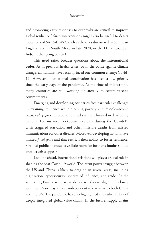and promoting early responses to outbreaks are critical to improve global resilience.3 Such interventions might also be useful to detect mutations of SARS-CoV-2, such as the ones discovered in Southeast England and in South Africa in late 2020, or the Delta variant in India in the spring of 2021.

This need raises broader questions about the **international order**. As in previous health crises, or in the battle against climate change, all humans have recently faced one common enemy: Covid-19. However, international coordination has been a low priority since the early days of the pandemic. At the time of this writing, many countries are still working unilaterally to secure vaccine commitments.

Emerging and **developing countries** face particular challenges in retaining resilience while escaping poverty and middle-income traps. *Policy space* to respond to shocks is more limited in developing nations. For instance, lockdown measures during the Covid-19 crisis triggered starvation and other invisible deaths from missed immunizations for other diseases. Moreover, developing nations have limited *fiscal space* and that restricts their ability to foster resilience. Strained public finances leave little room for further stimulus should another crisis appear.

Looking ahead, international relations will play a crucial role in shaping the post-Covid-19 world. The latent power struggle between the US and China is likely to drag on in several areas, including digitization, cybersecurity, spheres of influence, and trade. At the same time, Europe will have to decide whether to align more closely with the US or play a more independent role relative to both China and the US. The pandemic has also highlighted the vulnerability of deeply integrated global value chains. In the future, supply chains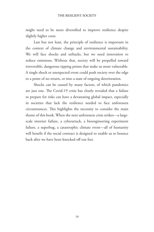#### The Resilient Society

might need to be more diversified to improve resilience despite slightly higher costs.

Last but not least, the principle of resilience is important in the context of climate change and environmental sustainability. We will face shocks and setbacks, but we need innovation to reduce emissions. Without that, society will be propelled toward irreversible, dangerous tipping points that make us more vulnerable. A single shock or unexpected event could push society over the edge to a point of no return, or into a state of ongoing deterioration.

Shocks can be caused by many factors, of which pandemics are just one. The Covid-19 crisis has clearly revealed that a failure to prepare for risks can have a devastating global impact, especially in societies that lack the resilience needed to face unforeseen circumstances. This highlights the necessity to consider the main theme of this book. When the next unforeseen crisis strikes—a largescale internet failure, a cyberattack, a bioengineering experiment failure, a superbug, a catastrophic climate event—all of humanity will benefit if the social contract is designed to enable us to bounce back after we have been knocked off our feet.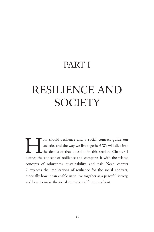# PART I

# RESILIENCE AND **SOCIETY**

societies and the way we live together? We will dive into<br>the details of that question in this section. Chapter 1<br>defines the concept of resilience and compares it with the related societies and the way we live together? We will dive into the details of that question in this section. Chapter 1 defines the concept of resilience and compares it with the related concepts of robustness, sustainability, and risk. Next, chapter 2 explores the implications of resilience for the social contract, especially how it can enable us to live together as a peaceful society, and how to make the social contract itself more resilient.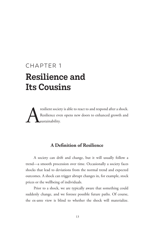# CHAPTER 1 **Resilience and Its Cousins**

resilient society is able to react to and respond after a shock.<br>Resilience even opens new doors to enhanced growth and<br>sustainability. Resilience even opens new doors to enhanced growth and sustainability.

## **A Definition of Resilience**

A society can drift and change, but it will usually follow a trend—a smooth procession over time. Occasionally a society faces shocks that lead to deviations from the normal trend and expected outcomes. A shock can trigger abrupt changes in, for example, stock prices or the wellbeing of individuals.

Prior to a shock, we are typically aware that something could suddenly change, and we foresee possible future paths. Of course, the ex-ante view is blind to whether the shock will materialize.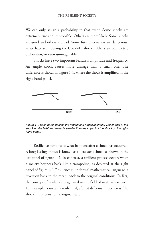We can only assign a probability to that event. Some shocks are extremely rare and improbable. Others are more likely. Some shocks are good and others are bad. Some future scenarios are dangerous, as we have seen during the Covid-19 shock. Others are completely unforeseen, or even unimaginable.

Shocks have two important features: amplitude and frequency. An ample shock causes more damage than a small one. The difference is shown in figure 1-1, where the shock is amplified in the right-hand panel.



*Figure 1-1: Each panel depicts the impact of a negative shock. The impact of the shock on the left-hand panel is smaller than the impact of the shock on the righthand panel.* 

Resilience pertains to what happens after a shock has occurred. A long-lasting impact is known as a persistent shock, as shown in the left panel of figure 1-2. In contrast, a resilient process occurs when a society bounces back like a trampoline, as depicted at the right panel of figure 1-2. Resilience is, in formal mathematical language, a reversion back to the mean, back to the original conditions. In fact, the concept of resilience originated in the field of materials science. For example, a metal is resilient if, after it deforms under stress (the shock), it returns to its original state.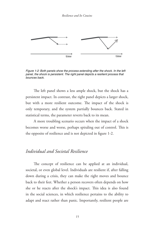

*Figure 1-2: Both panels show the process extending after the shock. In the left*  panel, the shock is persistent. The right panel depicts a resilient process that *bounces back.* 

The left panel shows a less ample shock, but the shock has a persistent impact. In contrast, the right panel depicts a larger shock, but with a more resilient outcome. The impact of the shock is only temporary, and the system partially bounces back. Stated in statistical terms, the parameter reverts back to its mean.

A more troubling scenario occurs when the impact of a shock becomes worse and worse, perhaps spiraling out of control. This is the opposite of resilience and is not depicted in figure 1-2.

## *Individual and Societal Resilience*

The concept of resilience can be applied at an individual, societal, or even global level. Individuals are resilient if, after falling down during a crisis, they can make the right moves and bounce back to their feet. Whether a person recovers often depends on how she or he reacts after the shock's impact. This idea is also found in the social sciences, in which resilience pertains to the ability to adapt and react rather than panic. Importantly, resilient people are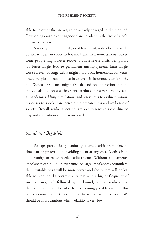able to reinvent themselves, to be actively engaged in the rebound. Developing ex-ante contingency plans to adapt in the face of shocks enhances resilience.

A society is resilient if all, or at least most, individuals have the option to react in order to bounce back. In a non-resilient society, some people might never recover from a severe crisis. Temporary job losses might lead to permanent unemployment, firms might close forever, or large debts might hold back households for years. These people do not bounce back even if insurance cushions the fall. Societal resilience might also depend on interactions among individuals and on a society's preparedness for severe events, such as pandemics. Using simulations and stress tests to evaluate various responses to shocks can increase the preparedness and resilience of society. Overall, resilient societies are able to react in a coordinated way and institutions can be reinvented.

### *Small and Big Risks*

Perhaps paradoxically, enduring a small crisis from time to time can be preferable to avoiding them at any cost. A crisis is an opportunity to make needed adjustments. Without adjustments, imbalances can build up over time. As large imbalances accumulate, the inevitable crisis will be more severe and the system will be less able to rebound. In contrast, a system with a higher frequency of smaller crises, each followed by a rebound, is more resilient and therefore less prone to risks than a seemingly stable system. This phenomenon is sometimes referred to as a volatility paradox. We should be most cautious when volatility is very low.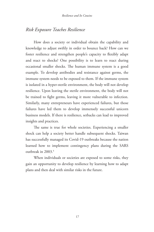### *Risk Exposure Teaches Resilience*

How does a society or individual obtain the capability and knowledge to adjust swiftly in order to bounce back? How can we foster resilience and strengthen people's capacity to flexibly adapt and react to shocks? One possibility is to learn to react during occasional smaller shocks. The human immune system is a good example. To develop antibodies and resistance against germs, the immune system needs to be exposed to them. If the immune system is isolated in a hyper-sterile environment, the body will not develop resilience. Upon leaving the sterile environment, the body will not be trained to fight germs, leaving it more vulnerable to infection. Similarly, many entrepreneurs have experienced failures, but those failures have led them to develop immensely successful unicorn business models. If there is resilience, setbacks can lead to improved insights and practices.

The same is true for whole societies. Experiencing a smaller shock can help a society better handle subsequent shocks. Taiwan has successfully managed its Covid-19 outbreaks because the nation learned how to implement contingency plans during the SARS outhreak in 2003<sup>4</sup>

When individuals or societies are exposed to some risks, they gain an opportunity to develop resilience by learning how to adapt plans and then deal with similar risks in the future.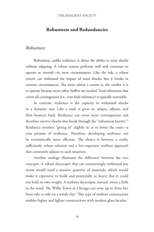#### The Resilient Society

### **Robustness and Redundancies**

#### *Robustness*

Robustness, unlike resilience, is about the ability to resist shocks without adapting. A robust system performs well and continues to operate as normal—in most circumstances. Like the oak, a robust system can withstand the impact of most shocks, but it breaks in extreme circumstances. The more robust a system is, the costlier it is to operate because more safety buffers are needed. Total robustness that covers all contingencies (i.e., zero fault-tolerance) is typically nonviable.

In contrast, resilience is the capacity to withstand shocks in a dynamic way. Like a reed, it gives in, adapts, adjusts, and then bounces back. Resilience can cover more contingencies and therefore survive shocks that break through the "robustness barrier."5 Resilience involves "giving in" slightly so as to lower the costs—a core premise of resilience. Therefore, developing resilience can be economically more efficient. The choice is between a costly, sufficiently robust solution and a less expensive resilient approach that constantly adjusts to each situation.

Another analogy illustrates the difference between the two concepts. A robust skyscraper that can unwaveringly withstand any storm would need a massive quantity of materials, which would make it expensive to build and potentially so heavy that it could not hold its own weight. A resilient skyscraper, instead, sways a little in the wind. The Willis Tower in Chicago can sway up to three feet from side to side on a windy day.6 This type of resilient construction enables higher and lighter constructions with modern glass facades.<sup>7</sup>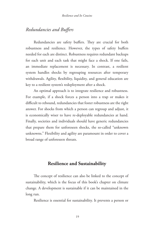### *Redundancies and Buffers*

Redundancies are safety buffers. They are crucial for both robustness and resilience. However, the types of safety buffers needed for each are distinct. Robustness requires redundant backups for each unit and each task that might face a shock. If one fails, an immediate replacement is necessary. In contrast, a resilient system handles shocks by regrouping resources after temporary withdrawals. Agility, flexibility, liquidity, and general education are key to a resilient system's redeployment after a shock.

An optimal approach is to integrate resilience and robustness. For example, if a shock forces a person into a trap or makes it difficult to rebound, redundancies that foster robustness are the right answer. For shocks from which a person can regroup and adjust, it is economically wiser to have re-deployable redundancies at hand. Finally, societies and individuals should have generic redundancies that prepare them for unforeseen shocks, the so-called "unknown unknowns." Flexibility and agility are paramount in order to cover a broad range of unforeseen threats.

#### **Resilience and Sustainability**

The concept of resilience can also be linked to the concept of sustainability, which is the focus of this book's chapter on climate change. A development is sustainable if it can be maintained in the long run.

Resilience is essential for sustainability. It prevents a person or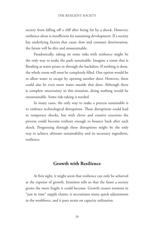society from falling off a cliff after being hit by a shock. However, resilience alone is insufficient for sustaining development. If a society has underlying factors that cause slow and constant deterioration, the future will be dire and unsustainable.

Paradoxically, taking on some risks with resilience might be the only way to make the path sustainable. Imagine a room that is flooding as water pours in through the backdoor. If nothing is done, the whole room will soon be completely filled. One option would be to allow water to escape by opening another door. However, there could also be even more water outside that door. Although there is complete uncertainty in this situation, doing nothing would be unsustainable. Some risk-taking is needed.

In many cases, the only way to make a process sustainable is to embrace technological disruptions. These disruptions could lead to temporary shocks, but with clever and creative reactions the process could become resilient enough to bounce back after each shock. Progressing through these disruptions might be the only way to achieve ultimate sustainability and its necessary ingredient, resilience.

## **Growth with Resilience**

At first sight, it might seem that resilience can only be achieved at the expense of growth. Intuition tells us that the faster a society grows the more fragile it could become. Growth creates tensions in "just in time" supply chains, it necessitates many quick adjustments in the workforce, and it puts strain on capacity utilization.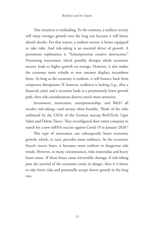That intuition is misleading. To the contrary, a resilient society will enjoy stronger growth over the long run because it will better absorb shocks. For that reason, a resilient society is better equipped to take risks. And risk-taking is an essential driver of growth. A prominent explanation is "Schumpeterian creative destruction." Promoting innovation, which possibly disrupts whole economic sectors, leads to higher growth on average. However, it also makes the economy more volatile as new entrants displace incumbent firms. As long as the economy is resilient, it will bounce back from temporary disruptions. If, however, resilience is lacking (e.g., after a financial crisis) and a recession leads to a permanently lower growth path, then risk considerations deserve much more attention.

Investment, innovation, entrepreneurship, and R&D all involve risk-taking—and society often benefits. Think of the risks embraced by the CEOs of the German startup BioNTech, Ugur Sahin and Özlem Türeci. They reconfigured their entire company to search for a new mRNA vaccine against Covid-19 in January 2020.<sup>8</sup>

This type of innovation can subsequently boost economic growth, which, in turn, provides more resilience. As the economic bicycle moves faster, it becomes more resilient to dangerous side winds. However, in many circumstances, risks materialize and heavy losses ensue. If those losses cause irreversible damage, if risk-taking puts the survival of the economic entity in danger, then it is better to take fewer risks and potentially accept slower growth in the long run.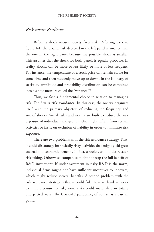#### *Risk versus Resilience*

Before a shock occurs, society faces risk. Referring back to figure 1-1, the ex-ante risk depicted in the left panel is smaller than the one in the right panel because the possible shock is smaller. This assumes that the shock for both panels is equally probable. In reality, shocks can be more or less likely, or more or less frequent. For instance, the temperature or a stock price can remain stable for some time and then suddenly move up or down. In the language of statistics, amplitude and probability distribution can be combined into a single measure called the "variance."9

Thus, we face a fundamental choice in relation to managing risk. The first is **risk avoidance**. In this case, the society organizes itself with the primary objective of reducing the frequency and size of shocks. Social rules and norms are built to reduce the risk exposure of individuals and groups. One might refrain from certain activities or insist on exclusion of liability in order to minimize risk exposure.

There are two problems with the risk avoidance strategy. First, it could discourage intrinsically risky activities that might yield great societal and economic benefits. In fact, a society should desire such risk-taking. Otherwise, companies might not reap the full benefit of R&D investment. If underinvestment in risky R&D is the norm, individual firms might not have sufficient incentives to innovate, which might reduce societal benefits. A second problem with the risk avoidance strategy is that it could fail. However hard we work to limit exposure to risk, some risks could materialize in totally unexpected ways. The Covid-19 pandemic, of course, is a case in point.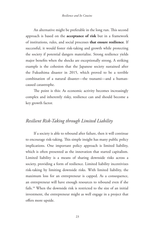An alternative might be preferable in the long run. This second approach is based on the **acceptance of risk** but in a framework of institutions, rules, and social processes **that ensure resilience**. If successful, it would foster risk-taking and growth while protecting the society if potential dangers materialize. Strong resilience yields major benefits when the shocks are exceptionally strong. A striking example is the cohesion that the Japanese society sustained after the Fukushima disaster in 2015, which proved to be a terrible combination of a natural disaster—the tsunami—and a humancaused catastrophe.

The point is this: As economic activity becomes increasingly complex and inherently risky, resilience can and should become a key growth factor.

#### *Resilient Risk-Taking through Limited Liability*

If a society is able to rebound after failure, then it will continue to encourage risk-taking. This simple insight has many public policy implications. One important policy approach is limited liability, which is often presented as the innovation that started capitalism. Limited liability is a means of sharing downside risks across a society, providing a form of resilience. Limited liability incentivizes risk-taking by limiting downside risks. With limited liability, the maximum loss for an entrepreneur is capped. As a consequence, an entrepreneur will have enough resources to rebound even if she fails.10 When the downside risk is restricted to the size of an initial investment, the entrepreneur might as well engage in a project that offers more upside.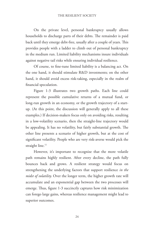On the private level, personal bankruptcy usually allows households to discharge parts of their debts. The remainder is paid back until they emerge debt-free, usually after a couple of years. This provides people with a ladder to climb out of personal bankruptcy in the medium run. Limited liability mechanisms insure individuals against negative tail risks while ensuring individual resilience.

Of course, to fine-tune limited liability is a balancing act. On the one hand, it should stimulate R&D investments; on the other hand, it should avoid excess risk-taking, especially in the realm of financial speculation.

Figure 1-3 illustrates two growth paths. Each line could represent the possible cumulative returns of a mutual fund, or long-run growth in an economy, or the growth trajectory of a startup. (At this point, the discussion will generally apply to all these examples.) If decision-makers focus only on avoiding risks, resulting in a low-volatility scenario, then the straight-line trajectory would be appealing. It has no volatility, but fairly substantial growth. The other line presents a scenario of higher growth, but at the cost of significant volatility. People who are very risk-averse would pick the straight line.<sup>11</sup>

However, it's important to recognize that the more volatile path remains highly resilient. After every decline, the path fully bounces back and grows. A resilient strategy would focus on strengthening the underlying factors that support resilience *in the midst of volatility.* Over the longer term, the higher growth rate will accumulate and an exponential gap between the two processes will emerge. Thus, figure 1-3 succinctly captures how risk minimization can forego large gains, whereas resilience management might lead to superior outcomes.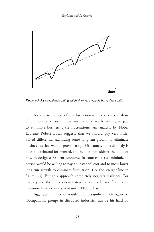

*Figure 1-3: Risk avoidance path (straight line) vs. a volatile but resilient path.*

A concrete example of this distinction is the economic analysis of business cycle costs. How much should we be willing to pay to eliminate business cycle fluctuations? An analysis by Nobel Laureate Robert Lucas suggests that we should pay very little. Stated differently, sacrificing some long-run growth to eliminate business cycles would prove costly. Of course, Lucas's analysis takes the rebound for granted, and he does not address the topic of how to design a resilient economy. In contrast, a risk-minimizing person would be willing to pay a substantial cost and to incur lower long-run growth to eliminate fluctuations (see the straight line in figure 1-3). But this approach completely neglects resilience. For many years, the US economy steadily bounced back from every recession. It was very resilient until 2007, at least.

Aggregate numbers obviously obscure significant heterogeneity. Occupational groups in disrupted industries can be hit hard by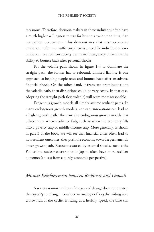#### The Resilient Society

recessions. Therefore, decision-makers in these industries often have a much higher willingness to pay for business cycle smoothing than noncyclical occupations. This demonstrates that macroeconomic resilience is often not sufficient; there is a need for individual microresilience. In a resilient society that is inclusive, every citizen has the ability to bounce back after personal shocks.

For the volatile path shown in figure 1-3 to dominate the straight path, the former has to rebound. Limited liability is one approach to helping people react and bounce back after an adverse financial shock. On the other hand, if **traps** are prominent along the volatile path, then disruptions could be very costly. In that case, adopting the straight path (less volatile) will seem more reasonable.

Exogenous growth models all simply assume resilient paths. In many endogenous growth models, constant innovations can lead to a higher growth path. There are also endogenous growth models that exhibit traps where resilience fails, such as when the economy falls into a poverty trap or middle-income trap. More generally, as shown in part 3 of the book, we will see that financial crises often lead to non-resilient outcomes; they push the economy toward a permanently lower growth path. Recessions caused by external shocks, such as the Fukushima nuclear catastrophe in Japan, often have more resilient outcomes (at least from a purely economic perspective).

#### *Mutual Reinforcement between Resilience and Growth*

A society is more resilient if the *pace* of change does not outstrip the *capacity* to change. Consider an analogy of a cyclist riding into crosswinds. If the cyclist is riding at a healthy speed, the bike can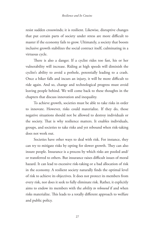resist sudden crosswinds; it is resilient. Likewise, disruptive changes that put certain parts of society under stress are more difficult to master if the economy fails to grow. Ultimately, a society that boosts inclusive growth stabilizes the social contract itself, culminating in a virtuous cycle.

There is also a danger. If a cyclist rides too fast, his or her vulnerability will increase. Riding at high speeds will diminish the cyclist's ability to avoid a pothole, potentially leading to a crash. Once a biker falls and incurs an injury, it will be more difficult to ride again. And so, change and technological progress must avoid leaving people behind. We will come back to these thoughts in the chapters that discuss innovation and inequality.

To achieve growth, societies must be able to take risks in order to innovate. However, risks could materialize. If they do, those negative situations should not be allowed to destroy individuals or the society. That is why resilience matters. It enables individuals, groups, and societies to take risks and yet rebound when risk-taking does not work out.

Societies have other ways to deal with risk. For instance, they can try to mitigate risks by opting for slower growth. They can also insure people. Insurance is a process by which risks are pooled and/ or transferred to others. But insurance raises difficult issues of moral hazard. It can lead to excessive risk-taking or a bad allocation of risk in the economy. A resilient society naturally finds the optimal level of risk to achieve its objectives. It does not protect its members from every risk, nor does it seek to fully eliminate risk. Rather, it explicitly aims to endow its members with the *ability to rebound* if and when risks materialize. This leads to a totally different approach to welfare and public policy.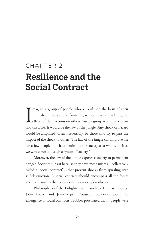# CHAPTER 2 **Resilience and the Social Contract**

Imagine a group of people who act only on the basis of their immediate needs and self-interest, without ever considering the effects of their actions on others. Such a group would be violent and unstable. It would be the l magine a group of people who act only on the basis of their immediate needs and self-interest, without ever considering the effects of their actions on others. Such a group would be violent would be amplified, often irreversibly, by those who try to pass the impact of the shock to others. The law of the jungle can improve life for a few people, but it can ruin life for society as a whole. In fact, we would not call such a group a "society."

Moreover, the law of the jungle exposes a society to permanent danger. Societies subsist because they have mechanisms—collectively called a "social contract"—that prevent shocks from spiraling into self-destruction. A social contract should encompass all the forces and mechanisms that contribute to a society's resilience.

Philosophers of the Enlightenment, such as Thomas Hobbes, John Locke, and Jean-Jacques Rousseau, reasoned about the emergence of social contracts. Hobbes postulated that if people were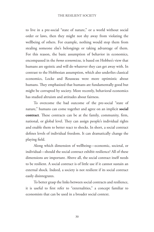to live in a pre-social "state of nature," or a world without social order or laws, then they might not shy away from violating the wellbeing of others. For example, nothing would stop them from stealing someone else's belongings or taking advantage of them. For this reason, the basic assumption of behavior in economics, encompassed in the *homo economicus,* is based on Hobbes's view that humans are egoistic and will do whatever they can get away with. In contrast to the Hobbesian assumption, which also underlies classical economics, Locke and Rousseau were more optimistic about humans. They emphasized that humans are fundamentally good but might be corrupted by society. More recently, behavioral economics has studied altruism and attitudes about fairness.

To overcome the bad outcome of the pre-social "state of nature," humans can come together and agree on an implicit **social contract**. These contracts can be at the family, community, firm, national, or global level. They can assign people's individual rights and enable them to better react to shocks. In short, a social contract defines levels of individual freedom. It can dramatically change the playing field.

Along which dimension of wellbeing—economic, societal, or individual—should the social contract exhibit resilience? All of these dimensions are important. Above all, the social contract itself needs to be resilient. A social contract is of little use if it cannot sustain an external shock. Indeed, a society is not resilient if its social contract easily disintegrates.

To better grasp the links between social contracts and resilience, it is useful to first refer to "externalities," a concept familiar to economists that can be used in a broader social context.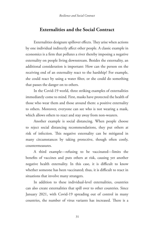#### **Externalities and the Social Contract**

Externalities designate spillover effects. They arise when actions by one individual indirectly affect other people. A classic example in economics is a firm that pollutes a river thereby imposing a negative externality on people living downstream. Besides the externality, an additional consideration is important: How can the person on the receiving end of an externality react to the hardship? For example, she could react by using a water filter, or she could do something that passes the danger on to others.

In the Covid-19 world, three striking examples of externalities immediately come to mind. First, masks have protected the health of those who wear them and those around them: a positive externality to others. Moreover, everyone can see who is not wearing a mask, which allows others to react and stay away from non-wearers.

Another example is social distancing. When people choose to reject social distancing recommendations, they put others at risk of infection. This negative externality can be mitigated in many circumstances by taking protective, though often costly, countermeasures.

A third example—refusing to be vaccinated—limits the benefits of vaccines and puts others at risk, causing yet another negative health externality. In this case, it is difficult to know whether someone has been vaccinated; thus, it is difficult to react in situations that involve many strangers.

In addition to these individual-level externalities, countries can also create externalities that spill over to other countries. Since January 2021, with Covid-19 spreading out of control in many countries, the number of virus variants has increased. There is a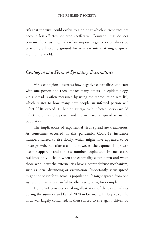risk that the virus could evolve to a point at which current vaccines become less effective or even ineffective. Countries that do not contain the virus might therefore impose negative externalities by providing a breeding ground for new variants that might spread around the world.

## *Contagion as a Form of Spreading Externalities*

Virus contagion illustrates how negative externalities can start with one person and then impact many others. In epidemiology, virus spread is often measured by using the reproduction rate R0, which relates to how many new people an infected person will infect. If R0 exceeds 1, then on average each infected person would infect more than one person and the virus would spread across the population.

The implications of exponential virus spread are treacherous. As sometimes occurred in this pandemic, Covid-19 incidence numbers started to rise slowly, which might have appeared to be linear growth. But after a couple of weeks, the exponential growth became apparent and the case numbers exploded.<sup>12</sup> In such cases, resilience only kicks in when the externality slows down and when those who incur the externalities have a better defense mechanism, such as social distancing or vaccination. Importantly, virus spread might not be uniform across a population. It might spread from one age group that is less careful to other age groups, for example.

Figure 2-1 provides a striking illustration of these externalities during the summer and fall of 2020 in Germany. In July 2020, the virus was largely contained. It then started to rise again, driven by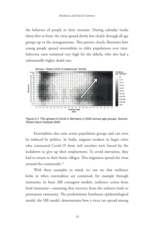the behavior of people in their twenties. During calendar weeks thirty-five to forty, the virus spread slowly but clearly through all age groups up to the nonagenarians. This pattern clearly illustrates how young people spread externalities to older populations over time. Infection rates remained very high for the elderly, who also had a substantially higher death rate.



*Figure 2-1: The spread of Covid in Germany in 2020 across age groups. Source: Robert Koch Institute 2020*

Externalities also exist across population groups and can even be induced by politics. In India, migrant workers in larger cities who contracted Covid-19 from rich travelers were forced by the lockdown to give up their employment. To avoid starvation, they had to return to their home villages. This migration spread the virus around the countryside.<sup>13</sup>

With these examples in mind, we can see that resilience kicks in when externalities are contained, for example through immunity. In basic SIR contagion models, resilience comes from herd immunity—assuming that recovery from the sickness leads to permanent immunity. The predominant barebones epidemiological model, the SIR model, demonstrates how a virus can spread among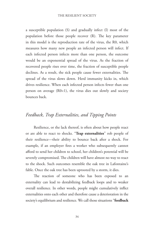a susceptible population (S) and gradually infect (I) most of the population before those people recover (R). The key parameter in this model is the reproduction rate of the virus, the R0, which measures how many new people an infected person will infect. If each infected person infects more than one person, the outcome would be an exponential spread of the virus. As the fraction of recovered people rises over time, the fraction of susceptible people declines. As a result, the sick people cause fewer externalities. The spread of the virus slows down. Herd immunity kicks in, which drives resilience. When each infected person infects fewer than one person on average (R0<1), the virus dies out slowly and society bounces back.

#### *Feedback, Trap Externalities, and Tipping Points*

Resilience, or the lack thereof, is often about how people react or are able to react to shocks. "**Trap externalities**" rob people of their resilience—their ability to bounce back after a shock. For example, if an employer fires a worker who subsequently cannot afford to send her children to school, her children's potential will be severely compromised. The children will have almost no way to react to the shock. Such outcomes resemble the oak tree in Lafontaine's fable. Once the oak tree has been uprooted by a storm, it dies.

The reaction of someone who has been exposed to an externality can lead to destabilizing feedback loops and to weaker overall resilience. In other words, people might cumulatively inflict externalities onto each other and therefore cause a deterioration in the society's equilibrium and resilience. We call those situations "**feedback**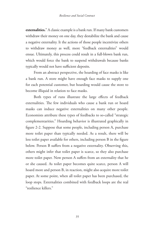**externalities.**" A classic example is a bank run. If many bank customers withdraw their money on one day, they destabilize the bank and cause a negative externality. It the actions of those people incentivize others to withdraw money as well, more "feedback externalities" would ensue. Ultimately, this process could result in a full-blown bank run, which would force the bank to suspend withdrawals because banks typically would not have sufficient deposits.

From an abstract perspective, the hoarding of face masks is like a bank run. A store might have enough face masks to supply one for each potential customer, but hoarding would cause the store to become illiquid in relation to face masks.

Both types of runs illustrate the large effects of feedback externalities. The few individuals who cause a bank run or hoard masks can induce negative externalities on many other people. Economists attribute these types of feedbacks to so-called "strategic complementarities." Hoarding behavior is illustrated graphically in figure 2-2. Suppose that some people, including person A, purchase more toilet paper than typically needed. As a result, there will be less toilet paper available for others, including person B in the figure below. Person B suffers from a negative externality. Observing this, others might infer that toilet paper is scarce, so they also purchase more toilet paper. Now person A suffers from an externality that he or she caused. As toilet paper becomes quite scarce, person A will hoard more and person B, in reaction, might also acquire more toilet paper. At some point, when all toilet paper has been purchased, the loop stops. Externalities combined with feedback loops are the real "resilience killers."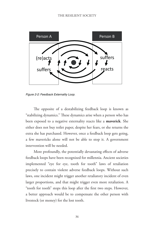

*Figure 2-2: Feedback Externality Loop.*

The opposite of a destabilizing feedback loop is known as "stabilizing dynamics." These dynamics arise when a person who has been exposed to a negative externality reacts like a **maverick**. She either does not buy toilet paper, despite her fears, or she returns the extra she has purchased. However, once a feedback loop gets going, a few mavericks alone will not be able to stop it. A government intervention will be needed.

More profoundly, the potentially devastating effects of adverse feedback loops have been recognized for millennia. Ancient societies implemented "eye for eye, tooth for tooth" laws of retaliation precisely to contain violent adverse feedback loops. Without such laws, one incident might trigger another retaliatory incident of even larger proportions, and that might trigger even more retaliation. A "tooth for tooth" stops this loop after the first two steps. However, a better approach would be to compensate the other person with livestock (or money) for the lost tooth.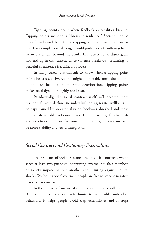**Tipping points** occur when feedback externalities kick in. Tipping points are serious "threats to resilience." Societies should identify and avoid them. Once a tipping point is crossed, resilience is lost. For example, a small trigger could push a society suffering from latent discontent beyond the brink. The society could disintegrate and end up in civil unrest. Once violence breaks out, returning to peaceful coexistence is a difficult process.14

In many cases, it is difficult to know when a tipping point might be crossed. Everything might look stable until the tipping point is reached, leading to rapid deterioration. Tipping points make social dynamics highly nonlinear.

Paradoxically, the social contract itself will become more resilient if *some* decline in individual or aggregate wellbeing perhaps caused by an externality or shock—is absorbed and those individuals are able to bounce back. In other words, if individuals and societies can remain far from tipping points, the outcome will be more stability and less disintegration.

### *Social Contract and Containing Externalities*

The resilience of societies is anchored in social contracts, which serve at least two purposes: containing externalities that members of society impose on one another and insuring against natural shocks. Without a social contract, people are free to impose negative **externalities** on each other.

In the absence of any social contract, externalities will abound. Because a social contract sets limits to admissible individual behaviors, it helps people avoid trap externalities and it stops